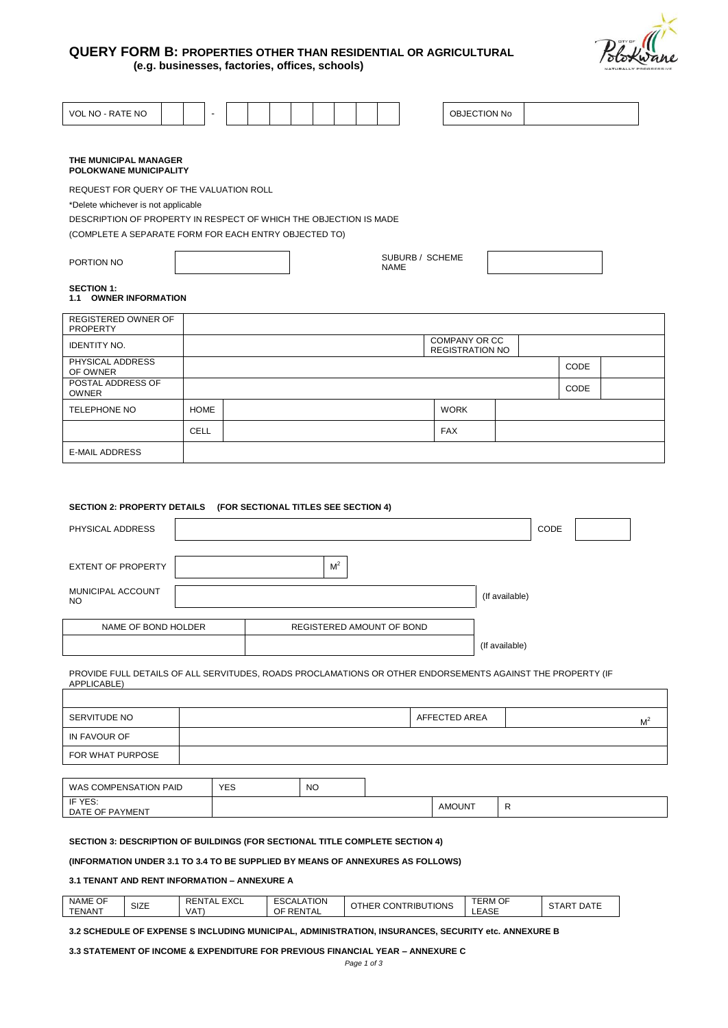



| VOL NO - RATE NO                                                  |  |             |  |  |  |  |  |  |  |  |             |                                         | OBJECTION No   |      |  |
|-------------------------------------------------------------------|--|-------------|--|--|--|--|--|--|--|--|-------------|-----------------------------------------|----------------|------|--|
|                                                                   |  |             |  |  |  |  |  |  |  |  |             |                                         |                |      |  |
| THE MUNICIPAL MANAGER<br>POLOKWANE MUNICIPALITY                   |  |             |  |  |  |  |  |  |  |  |             |                                         |                |      |  |
| REQUEST FOR QUERY OF THE VALUATION ROLL                           |  |             |  |  |  |  |  |  |  |  |             |                                         |                |      |  |
| *Delete whichever is not applicable                               |  |             |  |  |  |  |  |  |  |  |             |                                         |                |      |  |
| DESCRIPTION OF PROPERTY IN RESPECT OF WHICH THE OBJECTION IS MADE |  |             |  |  |  |  |  |  |  |  |             |                                         |                |      |  |
| (COMPLETE A SEPARATE FORM FOR EACH ENTRY OBJECTED TO)             |  |             |  |  |  |  |  |  |  |  |             |                                         |                |      |  |
| PORTION NO                                                        |  |             |  |  |  |  |  |  |  |  | <b>NAME</b> | SUBURB / SCHEME                         |                |      |  |
| <b>SECTION 1:</b><br>1.1 OWNER INFORMATION                        |  |             |  |  |  |  |  |  |  |  |             |                                         |                |      |  |
| REGISTERED OWNER OF<br><b>PROPERTY</b>                            |  |             |  |  |  |  |  |  |  |  |             |                                         |                |      |  |
| <b>IDENTITY NO.</b>                                               |  |             |  |  |  |  |  |  |  |  |             | COMPANY OR CC<br><b>REGISTRATION NO</b> |                |      |  |
| PHYSICAL ADDRESS<br>OF OWNER                                      |  |             |  |  |  |  |  |  |  |  |             |                                         |                | CODE |  |
| POSTAL ADDRESS OF<br><b>OWNER</b>                                 |  |             |  |  |  |  |  |  |  |  |             |                                         |                | CODE |  |
| <b>TELEPHONE NO</b>                                               |  | <b>HOME</b> |  |  |  |  |  |  |  |  |             | <b>WORK</b>                             |                |      |  |
|                                                                   |  | <b>CELL</b> |  |  |  |  |  |  |  |  |             | <b>FAX</b>                              |                |      |  |
| <b>E-MAIL ADDRESS</b>                                             |  |             |  |  |  |  |  |  |  |  |             |                                         |                |      |  |
|                                                                   |  |             |  |  |  |  |  |  |  |  |             |                                         |                |      |  |
|                                                                   |  |             |  |  |  |  |  |  |  |  |             |                                         |                |      |  |
| SECTION 2: PROPERTY DETAILS (FOR SECTIONAL TITLES SEE SECTION 4)  |  |             |  |  |  |  |  |  |  |  |             |                                         |                |      |  |
| CODE<br>PHYSICAL ADDRESS                                          |  |             |  |  |  |  |  |  |  |  |             |                                         |                |      |  |
| M <sup>2</sup><br><b>EXTENT OF PROPERTY</b>                       |  |             |  |  |  |  |  |  |  |  |             |                                         |                |      |  |
| MUNICIPAL ACCOUNT<br>N <sub>O</sub>                               |  |             |  |  |  |  |  |  |  |  |             |                                         | (If available) |      |  |

| NAME OF BOND HOLDER | REGISTERED AMOUNT OF BOND |
|---------------------|---------------------------|
|                     |                           |
|                     |                           |

NO (If available) (If available)

PROVIDE FULL DETAILS OF ALL SERVITUDES, ROADS PROCLAMATIONS OR OTHER ENDORSEMENTS AGAINST THE PROPERTY (IF APPLICABLE)

| SERVITUDE NO          |            |    | AFFECTED AREA | M |
|-----------------------|------------|----|---------------|---|
| IN FAVOUR OF          |            |    |               |   |
| FOR WHAT PURPOSE      |            |    |               |   |
|                       |            |    |               |   |
| WAS COMPENSATION PAID | <b>YES</b> | NO |               |   |

(If available)

| <b>IF YES</b><br>ш<br>. ∟ט.<br>$\sim$<br><br><b>DATE</b><br>OF.<br>AYMENI<br>$\cup$ |  | AMOUN <sup>-</sup> |  |
|-------------------------------------------------------------------------------------|--|--------------------|--|
|                                                                                     |  |                    |  |

# **SECTION 3: DESCRIPTION OF BUILDINGS (FOR SECTIONAL TITLE COMPLETE SECTION 4)**

# **(INFORMATION UNDER 3.1 TO 3.4 TO BE SUPPLIED BY MEANS OF ANNEXURES AS FOLLOWS)**

## **3.1 TENANT AND RENT INFORMATION – ANNEXURE A**

| NAME OF                  | SIZE | $\Gamma$<br>REN.<br>' AL<br>−∧∪∟ | ATION.<br><b>ESCAL</b> | JTIONS<br>THER<br><b>CONTRIBU</b> | TERM OF | $\sim$ $\sim$<br><b>DATE</b><br><b>ART</b> |
|--------------------------|------|----------------------------------|------------------------|-----------------------------------|---------|--------------------------------------------|
| T T T 1111 T T<br>'ENAN. |      | √AT                              | RENTA<br>ОF<br>\IAL    |                                   | LEASE   | ا ت                                        |

#### **3.2 SCHEDULE OF EXPENSE S INCLUDING MUNICIPAL, ADMINISTRATION, INSURANCES, SECURITY etc. ANNEXURE B**

# **3.3 STATEMENT OF INCOME & EXPENDITURE FOR PREVIOUS FINANCIAL YEAR – ANNEXURE C**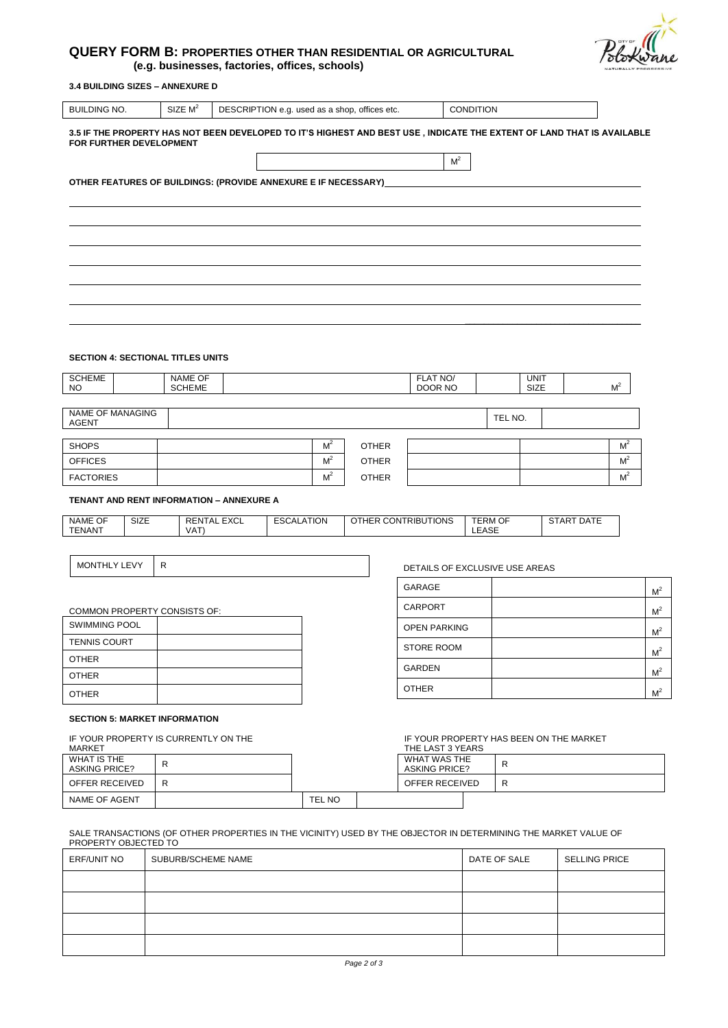# **QUERY FORM B: PROPERTIES OTHER THAN RESIDENTIAL OR AGRICULTURAL (e.g. businesses, factories, offices, schools)**

# **3.4 BUILDING SIZES – ANNEXURE D**

| <b>BUILDING NO.</b>                                                                              |                         | SIZE M <sup>2</sup>                      | DESCRIPTION e.g. used as a shop, offices etc.                                                                          |              |                     | <b>CONDITION</b> |                     |                |
|--------------------------------------------------------------------------------------------------|-------------------------|------------------------------------------|------------------------------------------------------------------------------------------------------------------------|--------------|---------------------|------------------|---------------------|----------------|
|                                                                                                  | FOR FURTHER DEVELOPMENT |                                          | 3.5 IF THE PROPERTY HAS NOT BEEN DEVELOPED TO IT'S HIGHEST AND BEST USE, INDICATE THE EXTENT OF LAND THAT IS AVAILABLE |              |                     |                  |                     |                |
|                                                                                                  |                         |                                          |                                                                                                                        |              | M <sup>2</sup>      |                  |                     |                |
|                                                                                                  |                         |                                          | OTHER FEATURES OF BUILDINGS: (PROVIDE ANNEXURE E IF NECESSARY)                                                         |              |                     |                  |                     |                |
|                                                                                                  |                         |                                          |                                                                                                                        |              |                     |                  |                     |                |
|                                                                                                  |                         |                                          |                                                                                                                        |              |                     |                  |                     |                |
|                                                                                                  |                         |                                          |                                                                                                                        |              |                     |                  |                     |                |
|                                                                                                  |                         |                                          |                                                                                                                        |              |                     |                  |                     |                |
|                                                                                                  |                         |                                          |                                                                                                                        |              |                     |                  |                     |                |
|                                                                                                  |                         |                                          |                                                                                                                        |              |                     |                  |                     |                |
|                                                                                                  |                         |                                          |                                                                                                                        |              |                     |                  |                     |                |
|                                                                                                  |                         |                                          |                                                                                                                        |              |                     |                  |                     |                |
|                                                                                                  |                         |                                          |                                                                                                                        |              |                     |                  |                     |                |
|                                                                                                  |                         |                                          |                                                                                                                        |              |                     |                  |                     |                |
|                                                                                                  |                         | <b>SECTION 4: SECTIONAL TITLES UNITS</b> |                                                                                                                        |              |                     |                  |                     |                |
|                                                                                                  |                         | NAME OF<br><b>SCHEME</b>                 |                                                                                                                        |              | FLAT NO/<br>DOOR NO |                  | <b>UNIT</b><br>SIZE | M <sup>2</sup> |
|                                                                                                  |                         |                                          |                                                                                                                        |              |                     |                  |                     |                |
|                                                                                                  | <b>NAME OF MANAGING</b> |                                          |                                                                                                                        |              |                     | TEL NO.          |                     |                |
|                                                                                                  |                         |                                          | M <sup>2</sup>                                                                                                         | <b>OTHER</b> |                     |                  |                     | M <sup>2</sup> |
|                                                                                                  |                         |                                          | M <sup>2</sup>                                                                                                         | <b>OTHER</b> |                     |                  |                     | M <sup>2</sup> |
|                                                                                                  |                         |                                          | M <sup>2</sup>                                                                                                         | <b>OTHER</b> |                     |                  |                     | M <sup>2</sup> |
| <b>SCHEME</b><br><b>NO</b><br><b>AGENT</b><br><b>SHOPS</b><br><b>OFFICES</b><br><b>FACTORIES</b> |                         | TENANT AND RENT INFORMATION - ANNEXURE A |                                                                                                                        |              |                     |                  |                     |                |

MONTHLY LEVY R CONTROL CONTROL CONTROL CONTROL DETAILS OF EXCLUSIVE USE AREAS

| GARAGE              | M <sup>2</sup> |
|---------------------|----------------|
| <b>CARPORT</b>      | M <sup>2</sup> |
| <b>OPEN PARKING</b> | M <sup>2</sup> |
| <b>STORE ROOM</b>   | M <sup>2</sup> |
| <b>GARDEN</b>       | M <sup>2</sup> |
| <b>OTHER</b>        | $M^2$          |

# COMMON PROPERTY CONSISTS OF:

| <b>SWIMMING POOL</b> |  |
|----------------------|--|
| <b>TENNIS COURT</b>  |  |
| <b>OTHER</b>         |  |
| <b>OTHER</b>         |  |
| <b>OTHER</b>         |  |

### **SECTION 5: MARKET INFORMATION**

IF YOUR PROPERTY IS CURRENTLY ON THE

| IF YOUR PROPERTY IS CURRENTLY ON THE<br>MARKET |   | THE LAST 3 YEARS | IF YOUR PROPERTY HAS BEEN ON THE MARKET |   |
|------------------------------------------------|---|------------------|-----------------------------------------|---|
| WHAT IS THE<br><b>ASKING PRICE?</b>            | R |                  | WHAT WAS THE<br><b>ASKING PRICE?</b>    |   |
| OFFER RECEIVED                                 | R |                  | OFFER RECEIVED                          | R |
| NAME OF AGENT                                  |   | TEL NO           |                                         |   |

#### SALE TRANSACTIONS (OF OTHER PROPERTIES IN THE VICINITY) USED BY THE OBJECTOR IN DETERMINING THE MARKET VALUE OF PROPERTY OBJECTED TO

| ERF/UNIT NO | SUBURB/SCHEME NAME | DATE OF SALE | <b>SELLING PRICE</b> |
|-------------|--------------------|--------------|----------------------|
|             |                    |              |                      |
|             |                    |              |                      |
|             |                    |              |                      |
|             |                    |              |                      |